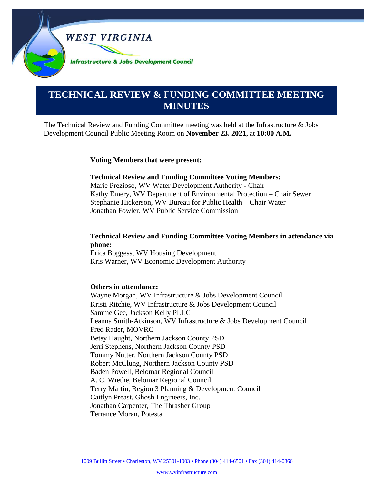

# **0000000000000000000000000000000000000000000000000000. TECHNICAL REVIEW & FUNDING COMMITTEE MEETING MINUTES**

The Technical Review and Funding Committee meeting was held at the Infrastructure & Jobs Development Council Public Meeting Room on **November 23, 2021,** at **10:00 A.M.**

#### **Voting Members that were present:**

#### **Technical Review and Funding Committee Voting Members:**

Marie Prezioso, WV Water Development Authority - Chair Kathy Emery, WV Department of Environmental Protection – Chair Sewer Stephanie Hickerson, WV Bureau for Public Health – Chair Water Jonathan Fowler, WV Public Service Commission

#### **Technical Review and Funding Committee Voting Members in attendance via phone:**

Erica Boggess, WV Housing Development Kris Warner, WV Economic Development Authority

#### **Others in attendance:**

Wayne Morgan, WV Infrastructure & Jobs Development Council Kristi Ritchie, WV Infrastructure & Jobs Development Council Samme Gee, Jackson Kelly PLLC Leanna Smith-Atkinson, WV Infrastructure & Jobs Development Council Fred Rader, MOVRC Betsy Haught, Northern Jackson County PSD Jerri Stephens, Northern Jackson County PSD Tommy Nutter, Northern Jackson County PSD Robert McClung, Northern Jackson County PSD Baden Powell, Belomar Regional Council A. C. Wiethe, Belomar Regional Council Terry Martin, Region 3 Planning & Development Council Caitlyn Preast, Ghosh Engineers, Inc. Jonathan Carpenter, The Thrasher Group Terrance Moran, Potesta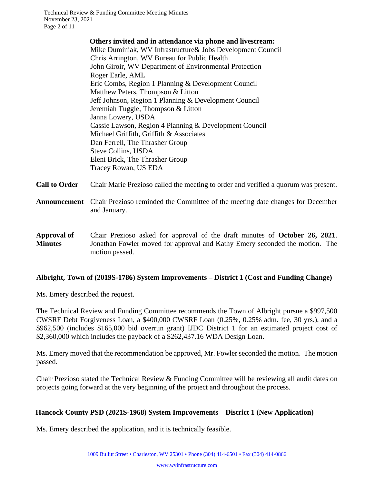Technical Review & Funding Committee Meeting Minutes November 23, 2021 Page 2 of 11

> **Others invited and in attendance via phone and livestream:** Mike Duminiak, WV Infrastructure& Jobs Development Council Chris Arrington, WV Bureau for Public Health John Giroir, WV Department of Environmental Protection Roger Earle, AML Eric Combs, Region 1 Planning & Development Council Matthew Peters, Thompson & Litton Jeff Johnson, Region 1 Planning & Development Council Jeremiah Tuggle, Thompson & Litton Janna Lowery, USDA Cassie Lawson, Region 4 Planning & Development Council Michael Griffith, Griffith & Associates Dan Ferrell, The Thrasher Group Steve Collins, USDA Eleni Brick, The Thrasher Group Tracey Rowan, US EDA

**Call to Order** Chair Marie Prezioso called the meeting to order and verified a quorum was present.

- **Announcement** Chair Prezioso reminded the Committee of the meeting date changes for December and January.
- **Approval of Minutes** Chair Prezioso asked for approval of the draft minutes of **October 26, 2021**. Jonathan Fowler moved for approval and Kathy Emery seconded the motion. The motion passed.

## **Albright, Town of (2019S-1786) System Improvements – District 1 (Cost and Funding Change)**

Ms. Emery described the request.

The Technical Review and Funding Committee recommends the Town of Albright pursue a \$997,500 CWSRF Debt Forgiveness Loan, a \$400,000 CWSRF Loan (0.25%, 0.25% adm. fee, 30 yrs.), and a \$962,500 (includes \$165,000 bid overrun grant) IJDC District 1 for an estimated project cost of \$2,360,000 which includes the payback of a \$262,437.16 WDA Design Loan.

Ms. Emery moved that the recommendation be approved, Mr. Fowler seconded the motion. The motion passed.

Chair Prezioso stated the Technical Review & Funding Committee will be reviewing all audit dates on projects going forward at the very beginning of the project and throughout the process.

## **Hancock County PSD (2021S-1968) System Improvements – District 1 (New Application)**

Ms. Emery described the application, and it is technically feasible.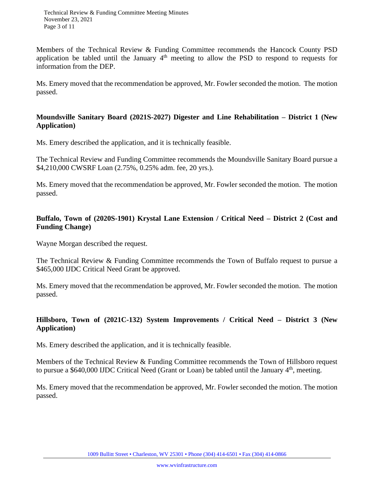Members of the Technical Review & Funding Committee recommends the Hancock County PSD application be tabled until the January  $4<sup>th</sup>$  meeting to allow the PSD to respond to requests for information from the DEP.

Ms. Emery moved that the recommendation be approved, Mr. Fowler seconded the motion. The motion passed.

#### **Moundsville Sanitary Board (2021S-2027) Digester and Line Rehabilitation – District 1 (New Application)**

Ms. Emery described the application, and it is technically feasible.

The Technical Review and Funding Committee recommends the Moundsville Sanitary Board pursue a \$4,210,000 CWSRF Loan (2.75%, 0.25% adm. fee, 20 yrs.).

Ms. Emery moved that the recommendation be approved, Mr. Fowler seconded the motion. The motion passed.

## **Buffalo, Town of (2020S-1901) Krystal Lane Extension / Critical Need – District 2 (Cost and Funding Change)**

Wayne Morgan described the request.

The Technical Review & Funding Committee recommends the Town of Buffalo request to pursue a \$465,000 IJDC Critical Need Grant be approved.

Ms. Emery moved that the recommendation be approved, Mr. Fowler seconded the motion. The motion passed.

# **Hillsboro, Town of (2021C-132) System Improvements / Critical Need – District 3 (New Application)**

Ms. Emery described the application, and it is technically feasible.

Members of the Technical Review & Funding Committee recommends the Town of Hillsboro request to pursue a \$640,000 IJDC Critical Need (Grant or Loan) be tabled until the January 4<sup>th</sup>, meeting.

Ms. Emery moved that the recommendation be approved, Mr. Fowler seconded the motion. The motion passed.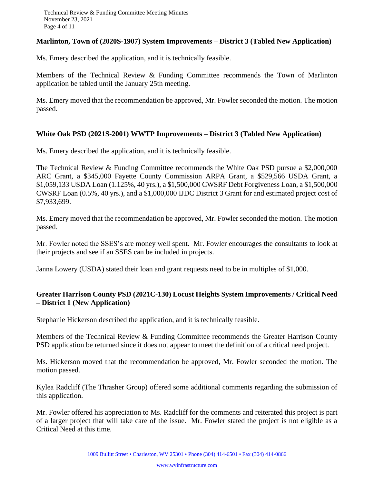#### **Marlinton, Town of (2020S-1907) System Improvements – District 3 (Tabled New Application)**

Ms. Emery described the application, and it is technically feasible.

Members of the Technical Review & Funding Committee recommends the Town of Marlinton application be tabled until the January 25th meeting.

Ms. Emery moved that the recommendation be approved, Mr. Fowler seconded the motion. The motion passed.

## **White Oak PSD (2021S-2001) WWTP Improvements – District 3 (Tabled New Application)**

Ms. Emery described the application, and it is technically feasible.

The Technical Review & Funding Committee recommends the White Oak PSD pursue a \$2,000,000 ARC Grant, a \$345,000 Fayette County Commission ARPA Grant, a \$529,566 USDA Grant, a \$1,059,133 USDA Loan (1.125%, 40 yrs.), a \$1,500,000 CWSRF Debt Forgiveness Loan, a \$1,500,000 CWSRF Loan (0.5%, 40 yrs.), and a \$1,000,000 IJDC District 3 Grant for and estimated project cost of \$7,933,699.

Ms. Emery moved that the recommendation be approved, Mr. Fowler seconded the motion. The motion passed.

Mr. Fowler noted the SSES's are money well spent. Mr. Fowler encourages the consultants to look at their projects and see if an SSES can be included in projects.

Janna Lowery (USDA) stated their loan and grant requests need to be in multiples of \$1,000.

## **Greater Harrison County PSD (2021C-130) Locust Heights System Improvements / Critical Need – District 1 (New Application)**

Stephanie Hickerson described the application, and it is technically feasible.

Members of the Technical Review & Funding Committee recommends the Greater Harrison County PSD application be returned since it does not appear to meet the definition of a critical need project.

Ms. Hickerson moved that the recommendation be approved, Mr. Fowler seconded the motion. The motion passed.

Kylea Radcliff (The Thrasher Group) offered some additional comments regarding the submission of this application.

Mr. Fowler offered his appreciation to Ms. Radcliff for the comments and reiterated this project is part of a larger project that will take care of the issue. Mr. Fowler stated the project is not eligible as a Critical Need at this time.

1009 Bullitt Street • Charleston, WV 25301 • Phone (304) 414-6501 • Fax (304) 414-0866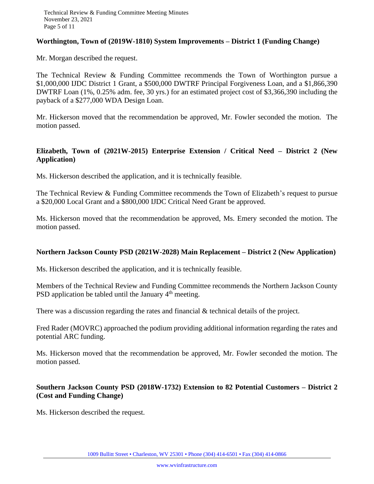#### **Worthington, Town of (2019W-1810) System Improvements – District 1 (Funding Change)**

Mr. Morgan described the request.

The Technical Review & Funding Committee recommends the Town of Worthington pursue a \$1,000,000 IJDC District 1 Grant, a \$500,000 DWTRF Principal Forgiveness Loan, and a \$1,866,390 DWTRF Loan (1%, 0.25% adm. fee, 30 yrs.) for an estimated project cost of \$3,366,390 including the payback of a \$277,000 WDA Design Loan.

Mr. Hickerson moved that the recommendation be approved, Mr. Fowler seconded the motion. The motion passed.

## **Elizabeth, Town of (2021W-2015) Enterprise Extension / Critical Need – District 2 (New Application)**

Ms. Hickerson described the application, and it is technically feasible.

The Technical Review & Funding Committee recommends the Town of Elizabeth's request to pursue a \$20,000 Local Grant and a \$800,000 IJDC Critical Need Grant be approved.

Ms. Hickerson moved that the recommendation be approved, Ms. Emery seconded the motion. The motion passed.

#### **Northern Jackson County PSD (2021W-2028) Main Replacement – District 2 (New Application)**

Ms. Hickerson described the application, and it is technically feasible.

Members of the Technical Review and Funding Committee recommends the Northern Jackson County PSD application be tabled until the January  $4<sup>th</sup>$  meeting.

There was a discussion regarding the rates and financial & technical details of the project.

Fred Rader (MOVRC) approached the podium providing additional information regarding the rates and potential ARC funding.

Ms. Hickerson moved that the recommendation be approved, Mr. Fowler seconded the motion. The motion passed.

## **Southern Jackson County PSD (2018W-1732) Extension to 82 Potential Customers – District 2 (Cost and Funding Change)**

Ms. Hickerson described the request.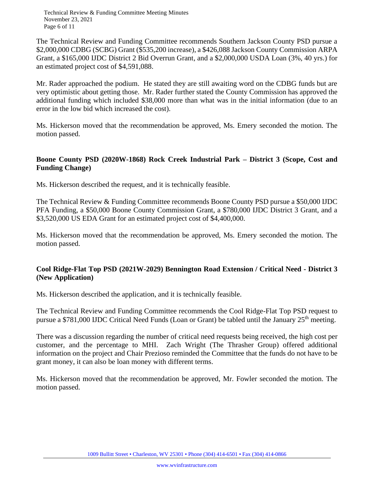Technical Review & Funding Committee Meeting Minutes November 23, 2021 Page 6 of 11

The Technical Review and Funding Committee recommends Southern Jackson County PSD pursue a \$2,000,000 CDBG (SCBG) Grant (\$535,200 increase), a \$426,088 Jackson County Commission ARPA Grant, a \$165,000 IJDC District 2 Bid Overrun Grant, and a \$2,000,000 USDA Loan (3%, 40 yrs.) for an estimated project cost of \$4,591,088.

Mr. Rader approached the podium. He stated they are still awaiting word on the CDBG funds but are very optimistic about getting those. Mr. Rader further stated the County Commission has approved the additional funding which included \$38,000 more than what was in the initial information (due to an error in the low bid which increased the cost).

Ms. Hickerson moved that the recommendation be approved, Ms. Emery seconded the motion. The motion passed.

#### **Boone County PSD (2020W-1868) Rock Creek Industrial Park – District 3 (Scope, Cost and Funding Change)**

Ms. Hickerson described the request, and it is technically feasible.

The Technical Review & Funding Committee recommends Boone County PSD pursue a \$50,000 IJDC PFA Funding, a \$50,000 Boone County Commission Grant, a \$780,000 IJDC District 3 Grant, and a \$3,520,000 US EDA Grant for an estimated project cost of \$4,400,000.

Ms. Hickerson moved that the recommendation be approved, Ms. Emery seconded the motion. The motion passed.

# **Cool Ridge-Flat Top PSD (2021W-2029) Bennington Road Extension / Critical Need - District 3 (New Application)**

Ms. Hickerson described the application, and it is technically feasible.

The Technical Review and Funding Committee recommends the Cool Ridge-Flat Top PSD request to pursue a \$781,000 IJDC Critical Need Funds (Loan or Grant) be tabled until the January  $25<sup>th</sup>$  meeting.

There was a discussion regarding the number of critical need requests being received, the high cost per customer, and the percentage to MHI. Zach Wright (The Thrasher Group) offered additional information on the project and Chair Prezioso reminded the Committee that the funds do not have to be grant money, it can also be loan money with different terms.

Ms. Hickerson moved that the recommendation be approved, Mr. Fowler seconded the motion. The motion passed.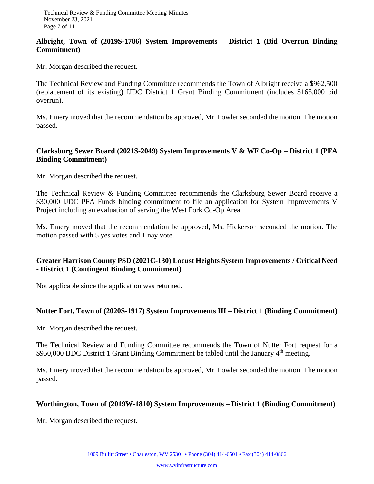#### **Albright, Town of (2019S-1786) System Improvements – District 1 (Bid Overrun Binding Commitment)**

Mr. Morgan described the request.

The Technical Review and Funding Committee recommends the Town of Albright receive a \$962,500 (replacement of its existing) IJDC District 1 Grant Binding Commitment (includes \$165,000 bid overrun).

Ms. Emery moved that the recommendation be approved, Mr. Fowler seconded the motion. The motion passed.

## **Clarksburg Sewer Board (2021S-2049) System Improvements V & WF Co-Op – District 1 (PFA Binding Commitment)**

Mr. Morgan described the request.

The Technical Review & Funding Committee recommends the Clarksburg Sewer Board receive a \$30,000 IJDC PFA Funds binding commitment to file an application for System Improvements V Project including an evaluation of serving the West Fork Co-Op Area.

Ms. Emery moved that the recommendation be approved, Ms. Hickerson seconded the motion. The motion passed with 5 yes votes and 1 nay vote.

## **Greater Harrison County PSD (2021C-130) Locust Heights System Improvements / Critical Need - District 1 (Contingent Binding Commitment)**

Not applicable since the application was returned.

#### **Nutter Fort, Town of (2020S-1917) System Improvements III – District 1 (Binding Commitment)**

Mr. Morgan described the request.

The Technical Review and Funding Committee recommends the Town of Nutter Fort request for a \$950,000 IJDC District 1 Grant Binding Commitment be tabled until the January 4<sup>th</sup> meeting.

Ms. Emery moved that the recommendation be approved, Mr. Fowler seconded the motion. The motion passed.

#### **Worthington, Town of (2019W-1810) System Improvements – District 1 (Binding Commitment)**

Mr. Morgan described the request.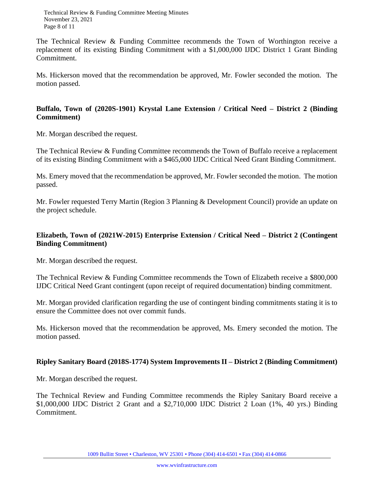The Technical Review & Funding Committee recommends the Town of Worthington receive a replacement of its existing Binding Commitment with a \$1,000,000 IJDC District 1 Grant Binding Commitment.

Ms. Hickerson moved that the recommendation be approved, Mr. Fowler seconded the motion. The motion passed.

## **Buffalo, Town of (2020S-1901) Krystal Lane Extension / Critical Need – District 2 (Binding Commitment)**

Mr. Morgan described the request.

The Technical Review & Funding Committee recommends the Town of Buffalo receive a replacement of its existing Binding Commitment with a \$465,000 IJDC Critical Need Grant Binding Commitment.

Ms. Emery moved that the recommendation be approved, Mr. Fowler seconded the motion. The motion passed.

Mr. Fowler requested Terry Martin (Region 3 Planning & Development Council) provide an update on the project schedule.

## **Elizabeth, Town of (2021W-2015) Enterprise Extension / Critical Need – District 2 (Contingent Binding Commitment)**

Mr. Morgan described the request.

The Technical Review & Funding Committee recommends the Town of Elizabeth receive a \$800,000 IJDC Critical Need Grant contingent (upon receipt of required documentation) binding commitment.

Mr. Morgan provided clarification regarding the use of contingent binding commitments stating it is to ensure the Committee does not over commit funds.

Ms. Hickerson moved that the recommendation be approved, Ms. Emery seconded the motion. The motion passed.

## **Ripley Sanitary Board (2018S-1774) System Improvements II – District 2 (Binding Commitment)**

Mr. Morgan described the request.

The Technical Review and Funding Committee recommends the Ripley Sanitary Board receive a \$1,000,000 IJDC District 2 Grant and a \$2,710,000 IJDC District 2 Loan (1%, 40 yrs.) Binding Commitment.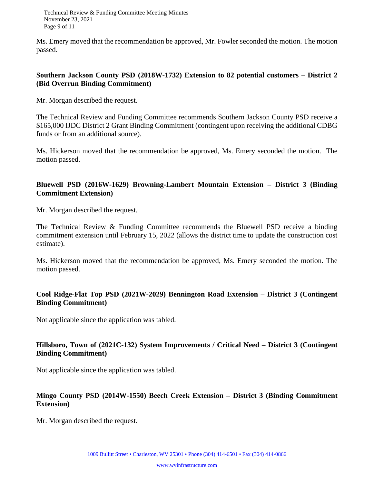Technical Review & Funding Committee Meeting Minutes November 23, 2021 Page 9 of 11

Ms. Emery moved that the recommendation be approved, Mr. Fowler seconded the motion. The motion passed.

#### **Southern Jackson County PSD (2018W-1732) Extension to 82 potential customers – District 2 (Bid Overrun Binding Commitment)**

Mr. Morgan described the request.

The Technical Review and Funding Committee recommends Southern Jackson County PSD receive a \$165,000 IJDC District 2 Grant Binding Commitment (contingent upon receiving the additional CDBG funds or from an additional source).

Ms. Hickerson moved that the recommendation be approved, Ms. Emery seconded the motion. The motion passed.

## **Bluewell PSD (2016W-1629) Browning-Lambert Mountain Extension – District 3 (Binding Commitment Extension)**

Mr. Morgan described the request.

The Technical Review & Funding Committee recommends the Bluewell PSD receive a binding commitment extension until February 15, 2022 (allows the district time to update the construction cost estimate).

Ms. Hickerson moved that the recommendation be approved, Ms. Emery seconded the motion. The motion passed.

## **Cool Ridge-Flat Top PSD (2021W-2029) Bennington Road Extension – District 3 (Contingent Binding Commitment)**

Not applicable since the application was tabled.

## **Hillsboro, Town of (2021C-132) System Improvements / Critical Need – District 3 (Contingent Binding Commitment)**

Not applicable since the application was tabled.

# **Mingo County PSD (2014W-1550) Beech Creek Extension – District 3 (Binding Commitment Extension)**

Mr. Morgan described the request.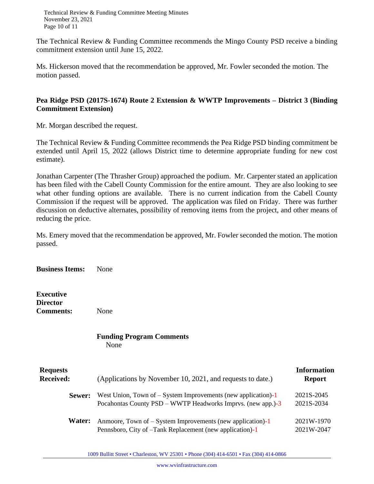Technical Review & Funding Committee Meeting Minutes November 23, 2021 Page 10 of 11

The Technical Review & Funding Committee recommends the Mingo County PSD receive a binding commitment extension until June 15, 2022.

Ms. Hickerson moved that the recommendation be approved, Mr. Fowler seconded the motion. The motion passed.

## **Pea Ridge PSD (2017S-1674) Route 2 Extension & WWTP Improvements – District 3 (Binding Commitment Extension)**

Mr. Morgan described the request.

The Technical Review & Funding Committee recommends the Pea Ridge PSD binding commitment be extended until April 15, 2022 (allows District time to determine appropriate funding for new cost estimate).

Jonathan Carpenter (The Thrasher Group) approached the podium. Mr. Carpenter stated an application has been filed with the Cabell County Commission for the entire amount. They are also looking to see what other funding options are available. There is no current indication from the Cabell County Commission if the request will be approved. The application was filed on Friday. There was further discussion on deductive alternates, possibility of removing items from the project, and other means of reducing the price.

Ms. Emery moved that the recommendation be approved, Mr. Fowler seconded the motion. The motion passed.

**Business Items:** None

**Executive Director Comments:** None

#### **Funding Program Comments** None

| <b>Requests</b><br><b>Received:</b> | (Applications by November 10, 2021, and requests to date.)                                                                     | <b>Information</b><br><b>Report</b> |
|-------------------------------------|--------------------------------------------------------------------------------------------------------------------------------|-------------------------------------|
| Sewer:                              | West Union, Town of $-$ System Improvements (new application)-1<br>Pocahontas County PSD – WWTP Headworks Imprvs. (new app.)-3 | 2021S-2045<br>2021S-2034            |
| Water:                              | Anmoore, Town of $-$ System Improvements (new application)-1<br>Pennsboro, City of -Tank Replacement (new application)-1       | 2021W-1970<br>2021W-2047            |

1009 Bullitt Street • Charleston, WV 25301 • Phone (304) 414-6501 • Fax (304) 414-0866